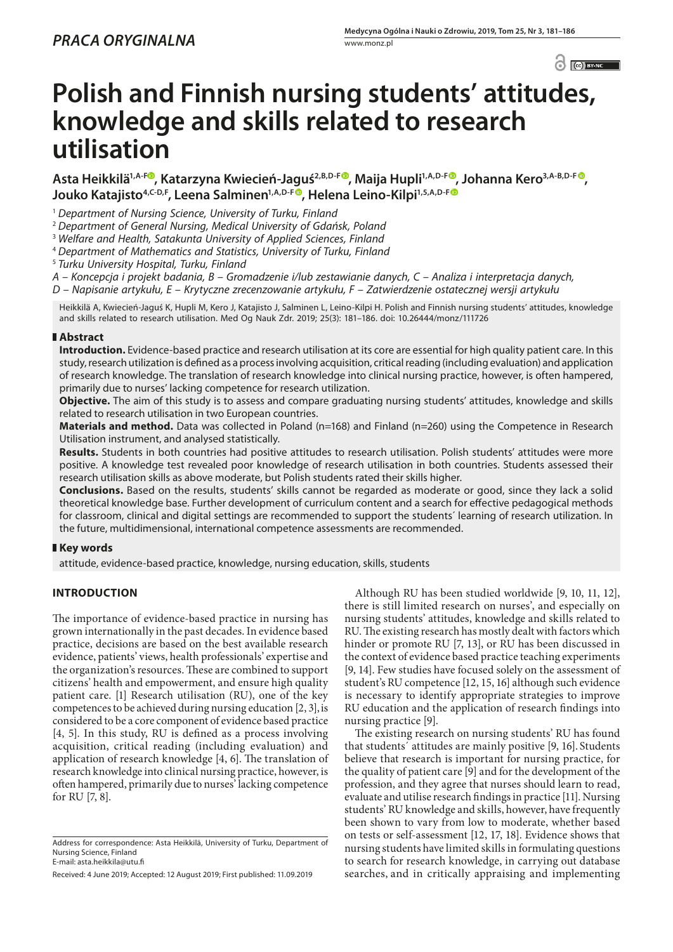C C BY-NC

# **Polish and Finnish nursing students' attitudes, knowledge and skills related to research utilisation**

**Asta Heikkilä1,A-F , Katarzyna Kwiecień-Jaguś2,B,D-F , Maija Hupli1,A,D-F [,](https://orcid.org/0000-0003-1116-410X) Johanna Kero3,A-B,D-F ,**  Jouko Katajisto<sup>4[,](https://orcid.org/0000-0002-9730-5331) C-D, F</sup>, Leena Salminen<sup>1, A, D-F®</sup>, Helena Leino-Kilpi<sup>1,5, A, D-F®</sup>

<sup>1</sup> *Department of Nursing Science, University of Turku, Finland*

<sup>2</sup> *Department of General Nursing, Medical University of Gdańsk, Poland*

<sup>3</sup> *Welfare and Health, Satakunta University of Applied Sciences, Finland*

<sup>4</sup> *Department of Mathematics and Statistics, University of Turku, Finland*

<sup>5</sup> *Turku University Hospital, Turku, Finland*

*A – Koncepcja i projekt badania, B – Gromadzenie i/lub zestawianie danych, C – Analiza i interpretacja danych,* 

*D – Napisanie artykułu, E – Krytyczne zrecenzowanie artykułu, F – Zatwierdzenie ostatecznej wersji artykułu*

Heikkilä A, Kwiecień-Jaguś K, Hupli M, Kero J, Katajisto J, Salminen L, Leino-Kilpi H. Polish and Finnish nursing students' attitudes, knowledge and skills related to research utilisation. Med Og Nauk Zdr. 2019; 25(3): 181–186. doi: 10.26444/monz/111726

## **Abstract**

**Introduction.** Evidence-based practice and research utilisation at its core are essential for high quality patient care. In this study, research utilization is defined as a process involving acquisition, critical reading (including evaluation) and application of research knowledge. The translation of research knowledge into clinical nursing practice, however, is often hampered, primarily due to nurses' lacking competence for research utilization.

**Objective.** The aim of this study is to assess and compare graduating nursing students' attitudes, knowledge and skills related to research utilisation in two European countries.

**Materials and method.** Data was collected in Poland (n=168) and Finland (n=260) using the Competence in Research Utilisation instrument, and analysed statistically.

**Results.** Students in both countries had positive attitudes to research utilisation. Polish students' attitudes were more positive. A knowledge test revealed poor knowledge of research utilisation in both countries. Students assessed their research utilisation skills as above moderate, but Polish students rated their skills higher.

**Conclusions.** Based on the results, students' skills cannot be regarded as moderate or good, since they lack a solid theoretical knowledge base. Further development of curriculum content and a search for effective pedagogical methods for classroom, clinical and digital settings are recommended to support the students´ learning of research utilization. In the future, multidimensional, international competence assessments are recommended.

# **Key words**

attitude, evidence-based practice, knowledge, nursing education, skills, students

# **INTRODUCTION**

The importance of evidence-based practice in nursing has grown internationally in the past decades. In evidence based practice, decisions are based on the best available research evidence, patients' views, health professionals' expertise and the organization's resources. These are combined to support citizens' health and empowerment, and ensure high quality patient care. [1] Research utilisation (RU), one of the key competences to be achieved during nursing education [2, 3],is considered to be a core component of evidence based practice [4, 5]. In this study, RU is defined as a process involving acquisition, critical reading (including evaluation) and application of research knowledge [4, 6]. The translation of research knowledge into clinical nursing practice, however, is often hampered, primarily due to nurses' lacking competence for RU [7, 8].

Although RU has been studied worldwide [9, 10, 11, 12], there is still limited research on nurses', and especially on nursing students' attitudes, knowledge and skills related to RU. The existing research has mostly dealt with factors which hinder or promote RU [7, 13], or RU has been discussed in the context of evidence based practice teaching experiments [9, 14]. Few studies have focused solely on the assessment of student's RU competence [12, 15, 16] although such evidence is necessary to identify appropriate strategies to improve RU education and the application of research findings into nursing practice [9].

The existing research on nursing students' RU has found that students´ attitudes are mainly positive [9, 16]. Students believe that research is important for nursing practice, for the quality of patient care [9] and for the development of the profession, and they agree that nurses should learn to read, evaluate and utilise research findings in practice [11]. Nursing students' RU knowledge and skills, however, have frequently been shown to vary from low to moderate, whether based on tests or self-assessment [12, 17, 18]. Evidence shows that nursing students have limited skills in formulating questions to search for research knowledge, in carrying out database searches, and in critically appraising and implementing

Address for correspondence: Asta Heikkilä, University of Turku, Department of Nursing Science, Finland E-mail: asta.heikkila@utu.fi

Received: 4 June 2019; Accepted: 12 August 2019; First published: 11.09.2019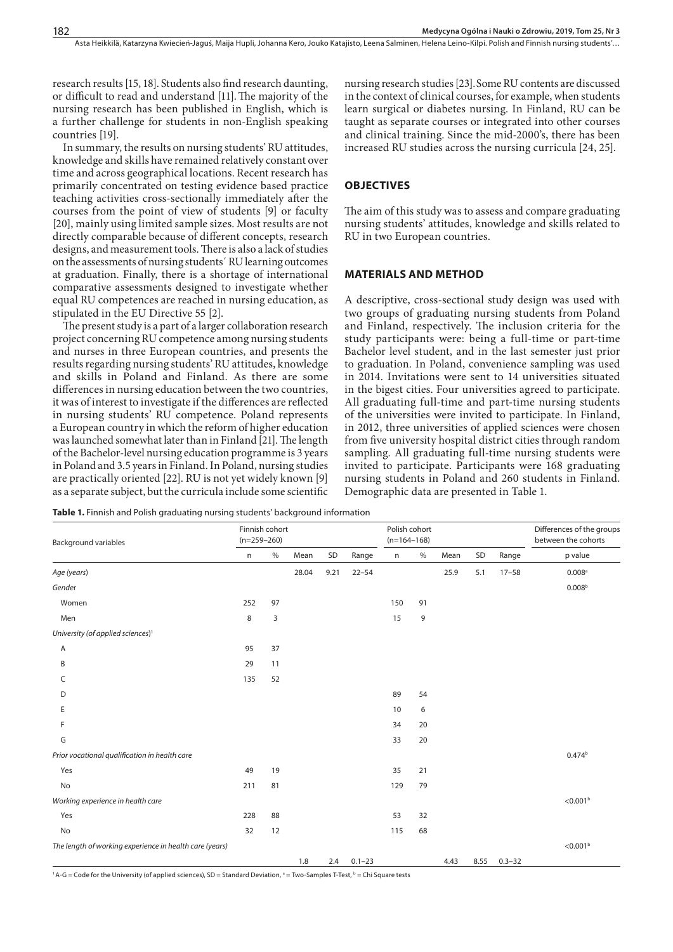research results [15, 18]. Students also find research daunting, or difficult to read and understand [11].The majority of the nursing research has been published in English, which is a further challenge for students in non-English speaking countries [19].

In summary, the results on nursing students' RU attitudes, knowledge and skills have remained relatively constant over time and across geographical locations. Recent research has primarily concentrated on testing evidence based practice teaching activities cross-sectionally immediately after the courses from the point of view of students [9] or faculty [20], mainly using limited sample sizes. Most results are not directly comparable because of different concepts, research designs, and measurement tools. There is also a lack of studies on the assessments of nursing students´ RU learning outcomes at graduation. Finally, there is a shortage of international comparative assessments designed to investigate whether equal RU competences are reached in nursing education, as stipulated in the EU Directive 55 [2].

The present study is a part of a larger collaboration research project concerning RU competence among nursing students and nurses in three European countries, and presents the results regarding nursing students' RU attitudes, knowledge and skills in Poland and Finland. As there are some differences in nursing education between the two countries, it was of interest to investigate if the differences are reflected in nursing students' RU competence. Poland represents a European country in which the reform of higher education was launched somewhat later than in Finland [21]. The length of the Bachelor-level nursing education programme is 3 years in Poland and 3.5 years in Finland. In Poland, nursing studies are practically oriented [22]. RU is not yet widely known [9] as a separate subject, but the curricula include some scientific

nursing research studies [23].Some RU contents are discussed in the context of clinical courses, for example, when students learn surgical or diabetes nursing. In Finland, RU can be taught as separate courses or integrated into other courses and clinical training. Since the mid-2000's, there has been increased RU studies across the nursing curricula [24, 25].

#### **OBJECTIVES**

The aim of this study was to assess and compare graduating nursing students' attitudes, knowledge and skills related to RU in two European countries.

### **MATERIALS AND METHOD**

A descriptive, cross-sectional study design was used with two groups of graduating nursing students from Poland and Finland, respectively. The inclusion criteria for the study participants were: being a full-time or part-time Bachelor level student, and in the last semester just prior to graduation. In Poland, convenience sampling was used in 2014. Invitations were sent to 14 universities situated in the bigest cities. Four universities agreed to participate. All graduating full-time and part-time nursing students of the universities were invited to participate. In Finland, in 2012, three universities of applied sciences were chosen from five university hospital district cities through random sampling. All graduating full-time nursing students were invited to participate. Participants were 168 graduating nursing students in Poland and 260 students in Finland. Demographic data are presented in Table 1.

**Table 1.** Finnish and Polish graduating nursing students' background information

| <b>Background variables</b>                             |     | Finnish cohort<br>$(n=259-260)$ |       |      |            | Polish cohort<br>$(n=164-168)$ |      |      |      |            | Differences of the groups<br>between the cohorts |
|---------------------------------------------------------|-----|---------------------------------|-------|------|------------|--------------------------------|------|------|------|------------|--------------------------------------------------|
|                                                         | n   | $\%$                            | Mean  | SD   | Range      | n                              | $\%$ | Mean | SD   | Range      | p value                                          |
| Age (years)                                             |     |                                 | 28.04 | 9.21 | $22 - 54$  |                                |      | 25.9 | 5.1  | $17 - 58$  | $0.008$ <sup>a</sup>                             |
| Gender                                                  |     |                                 |       |      |            |                                |      |      |      |            | 0.008 <sup>b</sup>                               |
| Women                                                   | 252 | 97                              |       |      |            | 150                            | 91   |      |      |            |                                                  |
| Men                                                     | 8   | 3                               |       |      |            | 15                             | 9    |      |      |            |                                                  |
| University (of applied sciences) <sup>1</sup>           |     |                                 |       |      |            |                                |      |      |      |            |                                                  |
| Α                                                       | 95  | 37                              |       |      |            |                                |      |      |      |            |                                                  |
| B                                                       | 29  | 11                              |       |      |            |                                |      |      |      |            |                                                  |
| C                                                       | 135 | 52                              |       |      |            |                                |      |      |      |            |                                                  |
| D                                                       |     |                                 |       |      |            | 89                             | 54   |      |      |            |                                                  |
| Ε                                                       |     |                                 |       |      |            | 10                             | 6    |      |      |            |                                                  |
| F                                                       |     |                                 |       |      |            | 34                             | 20   |      |      |            |                                                  |
| G                                                       |     |                                 |       |      |            | 33                             | 20   |      |      |            |                                                  |
| Prior vocational qualification in health care           |     |                                 |       |      |            |                                |      |      |      |            | 0.474 <sup>b</sup>                               |
| Yes                                                     | 49  | 19                              |       |      |            | 35                             | 21   |      |      |            |                                                  |
| No                                                      | 211 | 81                              |       |      |            | 129                            | 79   |      |      |            |                                                  |
| Working experience in health care                       |     |                                 |       |      |            |                                |      |      |      |            | < 0.001 <sup>b</sup>                             |
| Yes                                                     | 228 | 88                              |       |      |            | 53                             | 32   |      |      |            |                                                  |
| No                                                      | 32  | 12                              |       |      |            | 115                            | 68   |      |      |            |                                                  |
| The length of working experience in health care (years) |     |                                 |       |      |            |                                |      |      |      |            | < 0.001 <sup>b</sup>                             |
|                                                         |     |                                 | 1.8   | 2.4  | $0.1 - 23$ |                                |      | 4.43 | 8.55 | $0.3 - 32$ |                                                  |

 $1 A-G = Code$  for the University (of applied sciences), SD = Standard Deviation,  $a = Two-Samples T-Test$ ,  $b = Chi$  Square tests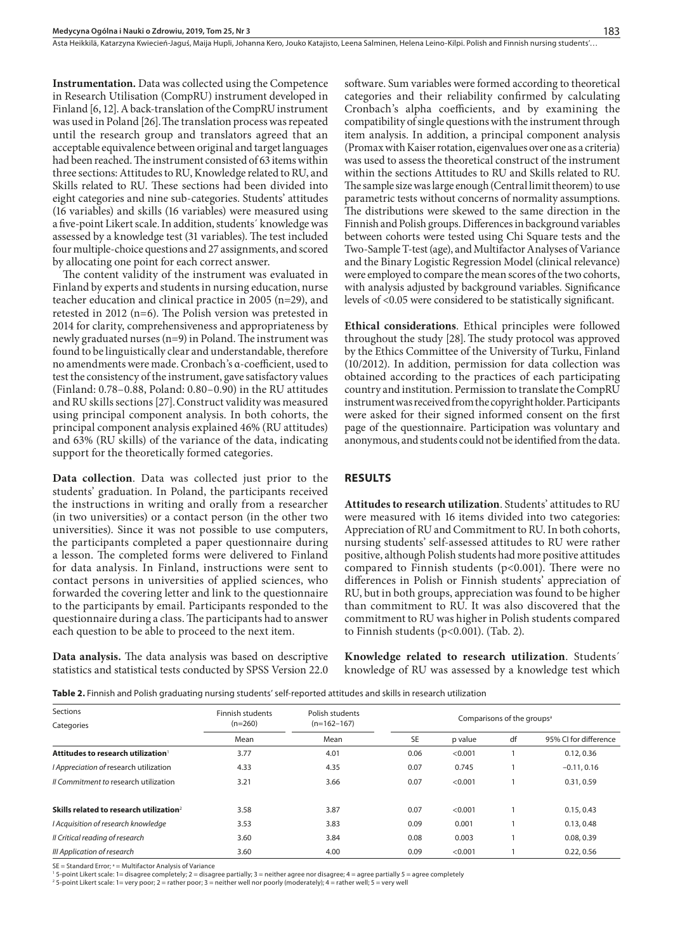Asta Heikkilä, Katarzyna Kwiecień-Jaguś, Maija Hupli, Johanna Kero, Jouko Katajisto, Leena Salminen, Helena Leino-Kilpi. Polish and Finnish nursing students'..

**Instrumentation.** Data was collected using the Competence in Research Utilisation (CompRU) instrument developed in Finland [6, 12]. A back-translation of the CompRU instrument was used in Poland [26].The translation process was repeated until the research group and translators agreed that an acceptable equivalence between original and target languages had been reached. The instrument consisted of 63 items within three sections: Attitudes to RU, Knowledge related to RU, and Skills related to RU. These sections had been divided into eight categories and nine sub-categories. Students' attitudes (16 variables) and skills (16 variables) were measured using a five-point Likert scale. In addition, students´ knowledge was assessed by a knowledge test (31 variables). The test included four multiple-choice questions and 27 assignments, and scored by allocating one point for each correct answer.

The content validity of the instrument was evaluated in Finland by experts and students in nursing education, nurse teacher education and clinical practice in 2005 (n=29), and retested in 2012 (n=6). The Polish version was pretested in 2014 for clarity, comprehensiveness and appropriateness by newly graduated nurses (n=9) in Poland. The instrument was found to be linguistically clear and understandable, therefore no amendments were made. Cronbach's α-coefficient, used to test the consistency of the instrument, gave satisfactory values (Finland: 0.78–0.88, Poland: 0.80–0.90) in the RU attitudes and RU skills sections [27].Construct validity was measured using principal component analysis. In both cohorts, the principal component analysis explained 46% (RU attitudes) and 63% (RU skills) of the variance of the data, indicating support for the theoretically formed categories.

**Data collection**. Data was collected just prior to the students' graduation. In Poland, the participants received the instructions in writing and orally from a researcher (in two universities) or a contact person (in the other two universities). Since it was not possible to use computers, the participants completed a paper questionnaire during a lesson. The completed forms were delivered to Finland for data analysis. In Finland, instructions were sent to contact persons in universities of applied sciences, who forwarded the covering letter and link to the questionnaire to the participants by email. Participants responded to the questionnaire during a class. The participants had to answer each question to be able to proceed to the next item.

**Data analysis.** The data analysis was based on descriptive statistics and statistical tests conducted by SPSS Version 22.0 software. Sum variables were formed according to theoretical categories and their reliability confirmed by calculating Cronbach's alpha coefficients, and by examining the compatibility of single questions with the instrument through item analysis. In addition, a principal component analysis (Promax with Kaiser rotation, eigenvalues over one as a criteria) was used to assess the theoretical construct of the instrument within the sections Attitudes to RU and Skills related to RU. The sample size was large enough (Central limit theorem) to use parametric tests without concerns of normality assumptions. The distributions were skewed to the same direction in the Finnish and Polish groups. Differences in background variables between cohorts were tested using Chi Square tests and the Two-Sample T-test (age), and Multifactor Analyses of Variance and the Binary Logistic Regression Model (clinical relevance) were employed to compare the mean scores of the two cohorts, with analysis adjusted by background variables. Significance levels of <0.05 were considered to be statistically significant.

**Ethical considerations**. Ethical principles were followed throughout the study [28].The study protocol was approved by the Ethics Committee of the University of Turku, Finland (10/2012). In addition, permission for data collection was obtained according to the practices of each participating country and institution. Permission to translate the CompRU instrument was received from the copyright holder. Participants were asked for their signed informed consent on the first page of the questionnaire. Participation was voluntary and anonymous, and students could not be identified from the data.

#### **RESULTS**

**Attitudes to research utilization**. Students' attitudes to RU were measured with 16 items divided into two categories: Appreciation of RU and Commitment to RU. In both cohorts, nursing students' self-assessed attitudes to RU were rather positive, although Polish students had more positive attitudes compared to Finnish students ( $p<0.001$ ). There were no differences in Polish or Finnish students' appreciation of RU, but in both groups, appreciation was found to be higher than commitment to RU. It was also discovered that the commitment to RU was higher in Polish students compared to Finnish students (p<0.001). (Tab. 2).

**Knowledge related to research utilization**. Students´ knowledge of RU was assessed by a knowledge test which

|  | Table 2. Finnish and Polish graduating nursing students' self-reported attitudes and skills in research utilization |  |
|--|---------------------------------------------------------------------------------------------------------------------|--|
|  |                                                                                                                     |  |

| Sections                                            | Finnish students<br>$(n=260)$<br>Mean | Polish students       | Comparisons of the groups <sup>a</sup> |         |    |                       |  |  |
|-----------------------------------------------------|---------------------------------------|-----------------------|----------------------------------------|---------|----|-----------------------|--|--|
| Categories                                          |                                       | $(n=162-167)$<br>Mean |                                        |         |    |                       |  |  |
|                                                     |                                       |                       | SE                                     | p value | df | 95% CI for difference |  |  |
| Attitudes to research utilization                   | 3.77                                  | 4.01                  | 0.06                                   | < 0.001 |    | 0.12, 0.36            |  |  |
| I Appreciation of research utilization              | 4.33                                  | 4.35                  | 0.07                                   | 0.745   |    | $-0.11, 0.16$         |  |  |
| Il Commitment to research utilization               | 3.21                                  | 3.66                  | 0.07                                   | < 0.001 |    | 0.31, 0.59            |  |  |
| Skills related to research utilization <sup>2</sup> | 3.58                                  | 3.87                  | 0.07                                   | < 0.001 |    | 0.15, 0.43            |  |  |
| I Acquisition of research knowledge                 | 3.53                                  | 3.83                  | 0.09                                   | 0.001   |    | 0.13, 0.48            |  |  |
| Il Critical reading of research                     | 3.60                                  | 3.84                  | 0.08                                   | 0.003   |    | 0.08, 0.39            |  |  |
| III Application of research                         | 3.60                                  | 4.00                  | 0.09                                   | < 0.001 |    | 0.22.0.56             |  |  |

SE = Standard Error; a = Multifactor Analysis of Variance

1 5-point Likert scale: 1= disagree completely; 2 = disagree partially; 3 = neither agree nor disagree; 4 = agree partially 5 = agree completely

2 5-point Likert scale: 1= very poor; 2 = rather poor; 3 = neither well nor poorly (moderately); 4 = rather well; 5 = very well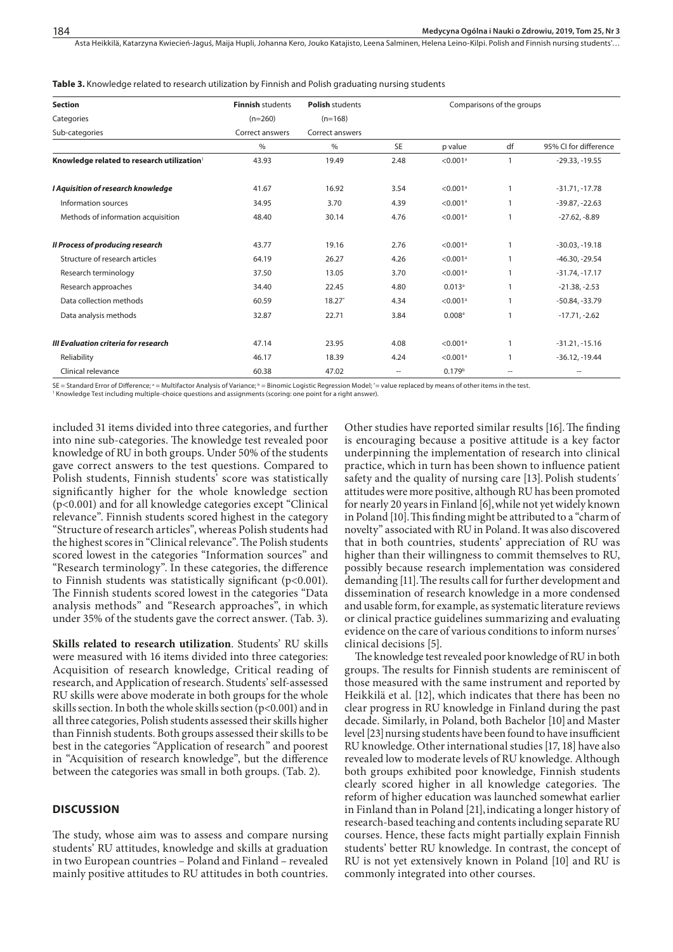Asta Heikkilä, Katarzyna Kwiecień-Jaguś, Maija Hupli, Johanna Kero, Jouko Katajisto, Leena Salminen, Helena Leino-Kilpi. Polish and Finnish nursing students'...

**Table 3.** Knowledge related to research utilization by Finnish and Polish graduating nursing students

| <b>Section</b>                                         | <b>Finnish students</b> | <b>Polish students</b> | Comparisons of the groups |                        |              |                       |  |  |
|--------------------------------------------------------|-------------------------|------------------------|---------------------------|------------------------|--------------|-----------------------|--|--|
| Categories                                             | $(n=260)$               | $(n=168)$              |                           |                        |              |                       |  |  |
| Sub-categories                                         | Correct answers         | Correct answers        |                           |                        |              |                       |  |  |
|                                                        | $\%$                    | $\%$                   | <b>SE</b>                 | p value                | df           | 95% CI for difference |  |  |
| Knowledge related to research utilization <sup>1</sup> | 43.93                   | 19.49                  | 2.48                      | $< 0.001$ <sup>a</sup> | $\mathbf{1}$ | $-29.33, -19.55$      |  |  |
| I Aquisition of research knowledge                     | 41.67                   | 16.92                  | 3.54                      | $< 0.001$ <sup>a</sup> |              | $-31.71, -17.78$      |  |  |
| Information sources                                    | 34.95                   | 3.70                   | 4.39                      | $< 0.001$ <sup>a</sup> |              | $-39.87, -22.63$      |  |  |
| Methods of information acquisition                     | 48.40                   | 30.14                  | 4.76                      | $<$ 0.001 $^{\rm a}$   |              | $-27.62, -8.89$       |  |  |
| <b>Il Process of producing research</b>                | 43.77                   | 19.16                  | 2.76                      | $< 0.001$ <sup>a</sup> |              | $-30.03, -19.18$      |  |  |
| Structure of research articles                         | 64.19                   | 26.27                  | 4.26                      | $< 0.001$ <sup>a</sup> |              | $-46.30, -29.54$      |  |  |
| Research terminology                                   | 37.50                   | 13.05                  | 3.70                      | $< 0.001$ <sup>a</sup> |              | $-31.74, -17.17$      |  |  |
| Research approaches                                    | 34.40                   | 22.45                  | 4.80                      | $0.013$ <sup>a</sup>   | 1            | $-21.38, -2.53$       |  |  |
| Data collection methods                                | 60.59                   | $18.27*$               | 4.34                      | $< 0.001$ <sup>a</sup> | 1            | $-50.84, -33.79$      |  |  |
| Data analysis methods                                  | 32.87                   | 22.71                  | 3.84                      | $0.008$ <sup>a</sup>   |              | $-17.71, -2.62$       |  |  |
| III Evaluation criteria for research                   | 47.14                   | 23.95                  | 4.08                      | $< 0.001$ <sup>a</sup> |              | $-31.21, -15.16$      |  |  |
| Reliability                                            | 46.17                   | 18.39                  | 4.24                      | $< 0.001$ <sup>a</sup> |              | $-36.12, -19.44$      |  |  |
| Clinical relevance                                     | 60.38                   | 47.02                  | --                        | 0.179 <sup>b</sup>     | --           | --                    |  |  |

SE = Standard Error of Difference; ª = Multifactor Analysis of Variance; ʰ = Binomic Logistic Regression Model; ˚= value replaced by means of other items in the test

1 Knowledge Test including multiple-choice questions and assignments (scoring: one point for a right answer).

included 31 items divided into three categories, and further into nine sub-categories. The knowledge test revealed poor knowledge of RU in both groups. Under 50% of the students gave correct answers to the test questions. Compared to Polish students, Finnish students' score was statistically significantly higher for the whole knowledge section (p<0.001) and for all knowledge categories except "Clinical relevance". Finnish students scored highest in the category "Structure of research articles", whereas Polish students had the highest scores in "Clinical relevance". The Polish students scored lowest in the categories "Information sources" and "Research terminology". In these categories, the difference to Finnish students was statistically significant (p<0.001). The Finnish students scored lowest in the categories "Data analysis methods" and "Research approaches", in which under 35% of the students gave the correct answer. (Tab. 3).

**Skills related to research utilization**. Students' RU skills were measured with 16 items divided into three categories: Acquisition of research knowledge, Critical reading of research, and Application of research. Students' self-assessed RU skills were above moderate in both groups for the whole skills section. In both the whole skills section (p<0.001) and in all three categories, Polish students assessed their skills higher than Finnish students. Both groups assessed their skills to be best in the categories "Application of research" and poorest in "Acquisition of research knowledge", but the difference between the categories was small in both groups. (Tab. 2).

#### **DISCUSSION**

The study, whose aim was to assess and compare nursing students' RU attitudes, knowledge and skills at graduation in two European countries – Poland and Finland – revealed mainly positive attitudes to RU attitudes in both countries.

Other studies have reported similar results [16].The finding is encouraging because a positive attitude is a key factor underpinning the implementation of research into clinical practice, which in turn has been shown to influence patient safety and the quality of nursing care [13]. Polish students´ attitudes were more positive, although RU has been promoted for nearly 20 years in Finland [6],while not yet widely known in Poland [10].This finding might be attributed to a "charm of novelty" associated with RU in Poland. It was also discovered that in both countries, students' appreciation of RU was higher than their willingness to commit themselves to RU, possibly because research implementation was considered demanding [11].The results call for further development and dissemination of research knowledge in a more condensed and usable form, for example, as systematic literature reviews or clinical practice guidelines summarizing and evaluating evidence on the care of various conditions to inform nurses´ clinical decisions [5].

The knowledge test revealed poor knowledge of RU in both groups. The results for Finnish students are reminiscent of those measured with the same instrument and reported by Heikkilä et al. [12], which indicates that there has been no clear progress in RU knowledge in Finland during the past decade. Similarly, in Poland, both Bachelor [10] and Master level [23]nursing students have been found to have insufficient RU knowledge. Other international studies [17, 18] have also revealed low to moderate levels of RU knowledge. Although both groups exhibited poor knowledge, Finnish students clearly scored higher in all knowledge categories. The reform of higher education was launched somewhat earlier in Finland than in Poland [21], indicating a longer history of research-based teaching and contents including separate RU courses. Hence, these facts might partially explain Finnish students' better RU knowledge. In contrast, the concept of RU is not yet extensively known in Poland [10] and RU is commonly integrated into other courses.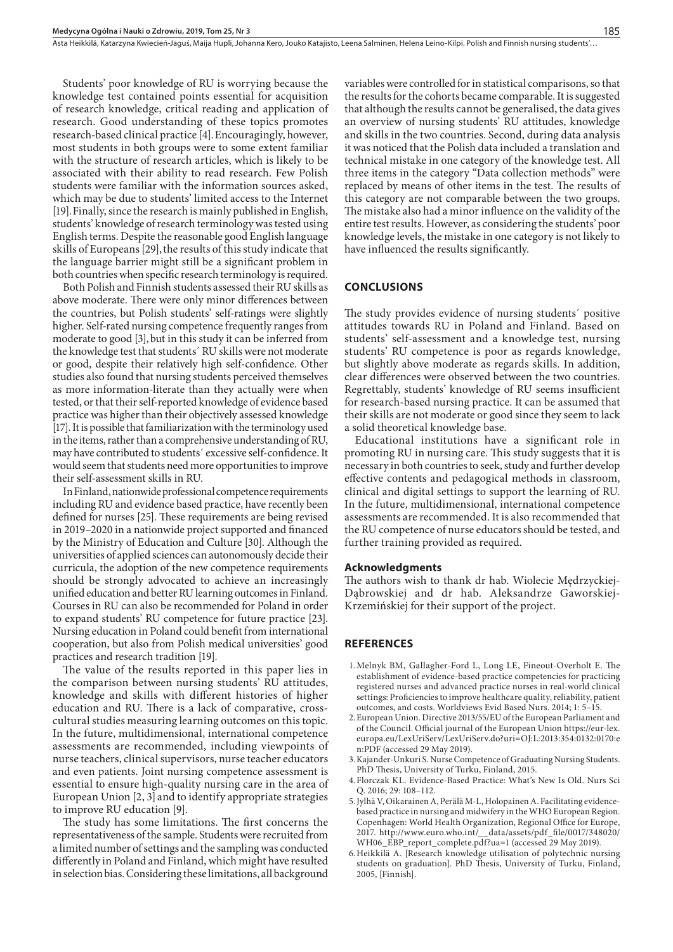Asta Heikkilä, Katarzyna Kwiecień-Jaguś, Maija Hupli, Johanna Kero, Jouko Katajisto, Leena Salminen, Helena Leino-Kilpi. Polish and Finnish nursing students'..

Students' poor knowledge of RU is worrying because the knowledge test contained points essential for acquisition of research knowledge, critical reading and application of research. Good understanding of these topics promotes research-based clinical practice [4].Encouragingly, however, most students in both groups were to some extent familiar with the structure of research articles, which is likely to be associated with their ability to read research. Few Polish students were familiar with the information sources asked, which may be due to students' limited access to the Internet [19].Finally, since the research is mainly published in English, students' knowledge of research terminology was tested using English terms. Despite the reasonable good English language skills of Europeans [29], the results of this study indicate that the language barrier might still be a significant problem in both countries when specific research terminology is required.

Both Polish and Finnish students assessed their RU skills as above moderate. There were only minor differences between the countries, but Polish students' self-ratings were slightly higher. Self-rated nursing competence frequently ranges from moderate to good [3], but in this study it can be inferred from the knowledge test that students´ RU skills were not moderate or good, despite their relatively high self-confidence. Other studies also found that nursing students perceived themselves as more information-literate than they actually were when tested, or that their self-reported knowledge of evidence based practice was higher than their objectively assessed knowledge [17]. It is possible that familiarization with the terminology used in the items, rather than a comprehensive understanding of RU, may have contributed to students´ excessive self-confidence. It would seem that students need more opportunities to improve their self-assessment skills in RU.

In Finland, nationwide professional competence requirements including RU and evidence based practice, have recently been defined for nurses [25]. These requirements are being revised in 2019–2020 in a nationwide project supported and financed by the Ministry of Education and Culture [30]. Although the universities of applied sciences can autonomously decide their curricula, the adoption of the new competence requirements should be strongly advocated to achieve an increasingly unified education and better RU learning outcomes in Finland. Courses in RU can also be recommended for Poland in order to expand students' RU competence for future practice [23]. Nursing education in Poland could benefit from international cooperation, but also from Polish medical universities' good practices and research tradition [19].

The value of the results reported in this paper lies in the comparison between nursing students' RU attitudes, knowledge and skills with different histories of higher education and RU. There is a lack of comparative, crosscultural studies measuring learning outcomes on this topic. In the future, multidimensional, international competence assessments are recommended, including viewpoints of nurse teachers, clinical supervisors, nurse teacher educators and even patients. Joint nursing competence assessment is essential to ensure high-quality nursing care in the area of European Union [2, 3] and to identify appropriate strategies to improve RU education [9].

The study has some limitations. The first concerns the representativeness of the sample. Students were recruited from a limited number of settings and the sampling was conducted differently in Poland and Finland, which might have resulted in selection bias. Considering these limitations, all background

variables were controlled for in statistical comparisons, so that the results for the cohorts became comparable. It is suggested that although the results cannot be generalised, the data gives an overview of nursing students' RU attitudes, knowledge and skills in the two countries. Second, during data analysis it was noticed that the Polish data included a translation and technical mistake in one category of the knowledge test. All three items in the category "Data collection methods" were replaced by means of other items in the test. The results of this category are not comparable between the two groups. The mistake also had a minor influence on the validity of the entire test results. However, as considering the students' poor knowledge levels, the mistake in one category is not likely to have influenced the results significantly.

#### **CONCLUSIONS**

The study provides evidence of nursing students´ positive attitudes towards RU in Poland and Finland. Based on students' self-assessment and a knowledge test, nursing students' RU competence is poor as regards knowledge, but slightly above moderate as regards skills. In addition, clear differences were observed between the two countries. Regrettably, students' knowledge of RU seems insufficient for research-based nursing practice. It can be assumed that their skills are not moderate or good since they seem to lack a solid theoretical knowledge base.

Educational institutions have a significant role in promoting RU in nursing care. This study suggests that it is necessary in both countries to seek, study and further develop effective contents and pedagogical methods in classroom, clinical and digital settings to support the learning of RU. In the future, multidimensional, international competence assessments are recommended. It is also recommended that the RU competence of nurse educators should be tested, and further training provided as required.

#### **Acknowledgments**

The authors wish to thank dr hab. Wiolecie Mędrzyckiej-Dąbrowskiej and dr hab. Aleksandrze Gaworskiej-Krzemińskiej for their support of the project.

#### **REFERENCES**

- 1.Melnyk BM, Gallagher-Ford L, Long LE, Fineout-Overholt E. The establishment of evidence-based practice competencies for practicing registered nurses and advanced practice nurses in real-world clinical settings: Proficiencies to improve healthcare quality, reliability, patient outcomes, and costs. Worldviews Evid Based Nurs. 2014; 1: 5–15.
- 2.European Union. Directive 2013/55/EU of the European Parliament and of the Council. Official journal of the European Union https://eur-lex. europa.eu/LexUriServ/LexUriServ.do?uri=OJ:L:2013:354:0132:0170:e n:PDF (accessed 29 May 2019).
- 3.Kajander-Unkuri S. Nurse Competence of Graduating Nursing Students. PhD Thesis, University of Turku, Finland, 2015.
- 4.Florczak KL. Evidence-Based Practice: What's New Is Old. Nurs Sci Q. 2016; 29: 108–112.
- 5.Jylhä V, Oikarainen A, Perälä M-L, Holopainen A. Facilitating evidencebased practice in nursing and midwifery in the WHO European Region. Copenhagen: World Health Organization, Regional Office for Europe, 2017. http://www.euro.who.int/\_\_data/assets/pdf\_file/0017/348020/ WH06\_EBP\_report\_complete.pdf?ua=1 (accessed 29 May 2019).
- 6.Heikkilä A. [Research knowledge utilisation of polytechnic nursing students on graduation]. PhD Thesis, University of Turku, Finland, 2005, [Finnish].